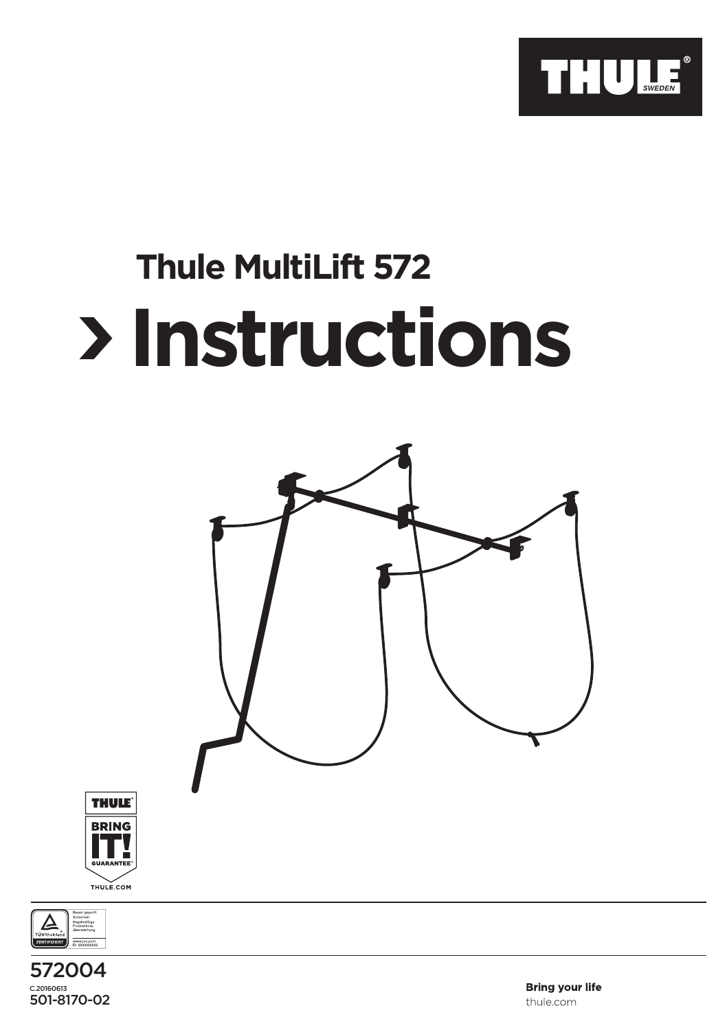

## **Thule MultiLift 572 Instructions**







**Bring your life** thule.com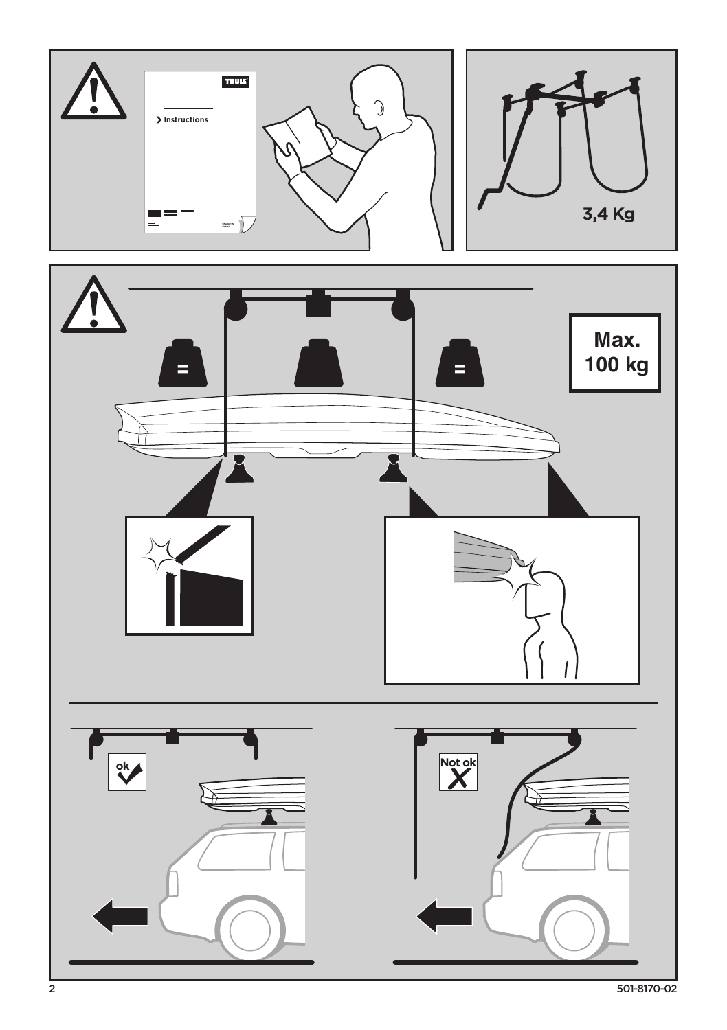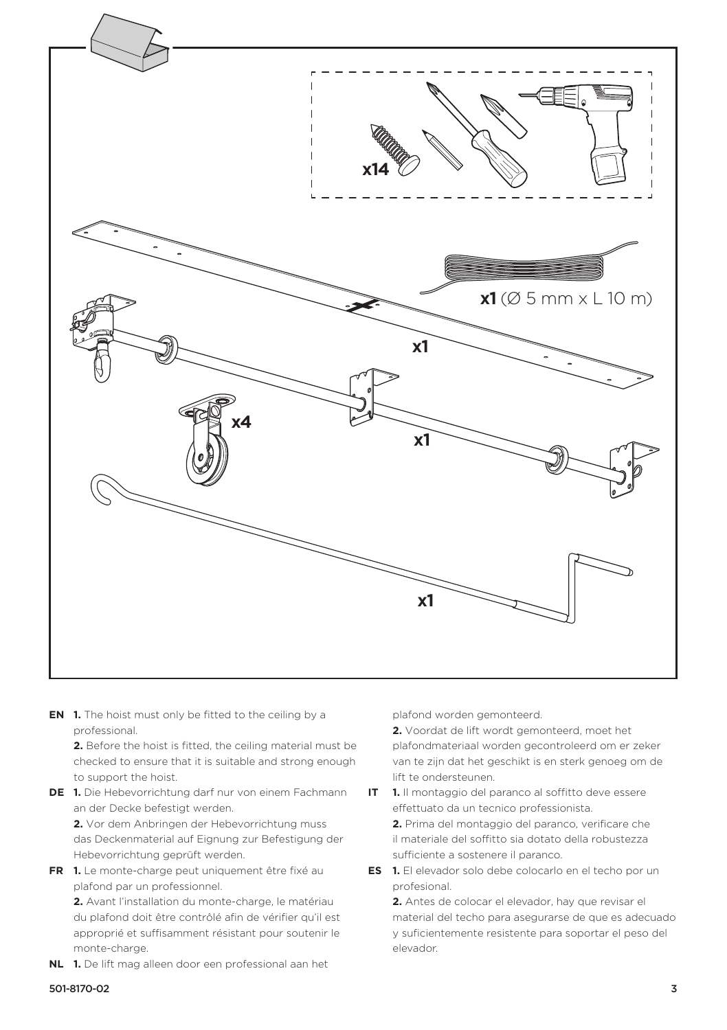

**EN 1.** The hoist must only be fitted to the ceiling by a professional.

**2.** Before the hoist is fitted, the ceiling material must be checked to ensure that it is suitable and strong enough to support the hoist.

**DE 1.** Die Hebevorrichtung darf nur von einem Fachmann an der Decke befestigt werden.

**2.** Vor dem Anbringen der Hebevorrichtung muss das Deckenmaterial auf Eignung zur Befestigung der Hebevorrichtung geprüft werden.

**FR 1.** Le monte-charge peut uniquement être fixé au plafond par un professionnel.

**2.** Avant l'installation du monte-charge, le matériau du plafond doit être contrôlé afin de vérifier qu'il est approprié et suffisamment résistant pour soutenir le monte-charge.

**NL 1.** De lift mag alleen door een professional aan het

plafond worden gemonteerd.

**2.** Voordat de lift wordt gemonteerd, moet het plafondmateriaal worden gecontroleerd om er zeker van te zijn dat het geschikt is en sterk genoeg om de lift te ondersteunen.

**IT 1.** Il montaggio del paranco al soffitto deve essere effettuato da un tecnico professionista.

**2.** Prima del montaggio del paranco, verificare che il materiale del soffitto sia dotato della robustezza sufficiente a sostenere il paranco.

**ES 1.** El elevador solo debe colocarlo en el techo por un profesional.

**2.** Antes de colocar el elevador, hay que revisar el material del techo para asegurarse de que es adecuado y suficientemente resistente para soportar el peso del elevador.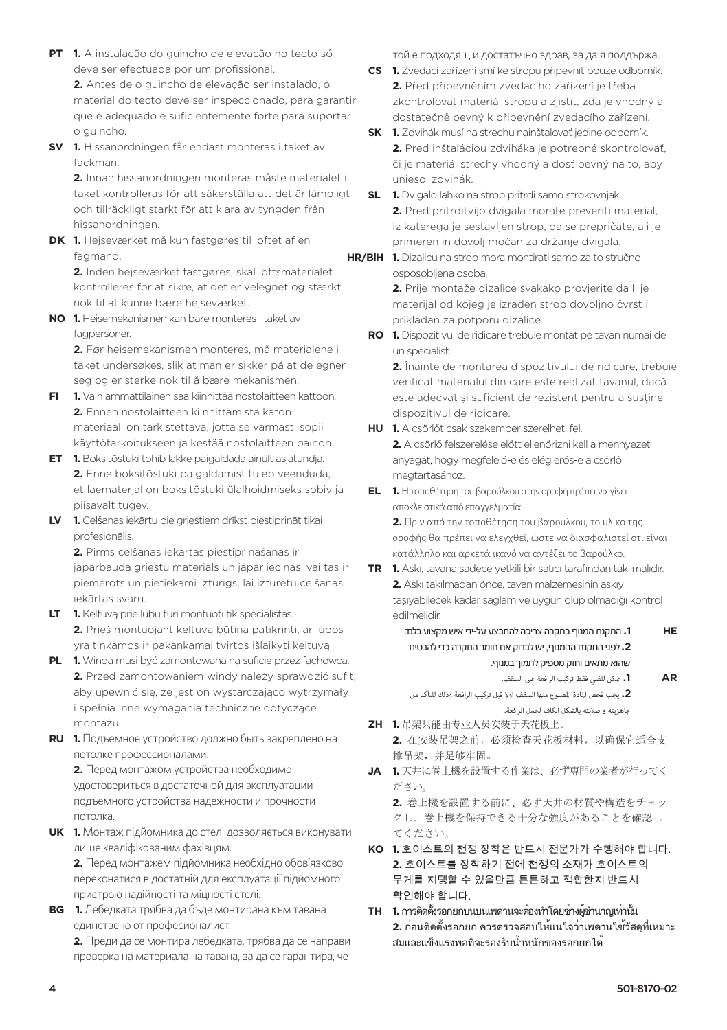**PT 1.** A instalação do guincho de elevação no tecto só deve ser efectuada por um profissional.

**2.** Antes de o guincho de elevação ser instalado, o material do tecto deve ser inspeccionado, para garantir que é adequado e suficientemente forte para suportar o guincho.

**SV 1.** Hissanordningen får endast monteras i taket av fackman.

**2.** Innan hissanordningen monteras måste materialet i taket kontrolleras för att säkerställa att det är lämpligt och tillräckligt starkt för att klara av tyngden från hissanordningen.

**DK 1.** Hejseværket må kun fastgøres til loftet af en fagmand.

**2.** Inden hejseværket fastgøres, skal loftsmaterialet kontrolleres for at sikre, at det er velegnet og stærkt nok til at kunne bære hejseværket.

**NO 1.** Heisemekanismen kan bare monteres i taket av fagpersoner.

**2.** Før heisemekanismen monteres, må materialene i taket undersøkes, slik at man er sikker på at de egner seg og er sterke nok til å bære mekanismen.

- **FI 1.** Vain ammattilainen saa kiinnittää nostolaitteen kattoon. **2.** Ennen nostolaitteen kiinnittämistä katon materiaali on tarkistettava, jotta se varmasti sopii käyttötarkoitukseen ja kestää nostolaitteen painon.
- **ET 1.** Boksitõstuki tohib lakke paigaldada ainult asjatundja. **2.** Enne boksitõstuki paigaldamist tuleb veenduda, et laematerjal on boksitõstuki ülalhoidmiseks sobiv ja piisavalt tugev.
- **LV 1.** Celšanas iekārtu pie griestiem drīkst piestiprināt tikai profesionālis.

**2.** Pirms celšanas iekārtas piestiprināšanas ir jāpārbauda griestu materiāls un jāpārliecinās, vai tas ir piemērots un pietiekami izturīgs, lai izturētu celšanas iekārtas svaru.

- **LT 1.** Keltuvą prie lubų turi montuoti tik specialistas. **2.** Prieš montuojant keltuvą būtina patikrinti, ar lubos yra tinkamos ir pakankamai tvirtos išlaikyti keltuvą.
- **PL 1.** Winda musi być zamontowana na suficie przez fachowca. **2.** Przed zamontowaniem windy należy sprawdzić sufit, aby upewnić się, że jest on wystarczająco wytrzymały i spełnia inne wymagania techniczne dotyczące montażu.
- **RU 1.** Подъемное устройство должно быть закреплено на потолке профессионалами.

**2.** Перед монтажом устройства необходимо удостовериться в достаточной для эксплуатации подъемного устройства надежности и прочности потолка.

**UK 1.** Монтаж підйомника до стелі дозволяється виконувати лише кваліфікованим фахівцям.

**2.** Перед монтажем підйомника необхідно обов'язково переконатися в достатній для експлуатації підйомного пристрою надійності та міцності стелі.

**BG 1.**Лебедката трябва да бъде монтирана към тавана единствено от професионалист.

**2.** Преди да се монтира лебедката, трябва да се направи проверка на материала на тавана, за да се гарантира, че

той е подходящ и достатъчно здрав, за да я поддържа.

- **CS 1.** Zvedací zařízení smí ke stropu připevnit pouze odborník. **2.** Před připevněním zvedacího zařízení je třeba zkontrolovat materiál stropu a zjistit, zda je vhodný a dostatečně pevný k připevnění zvedacího zařízení.
- **SK 1.** Zdvihák musí na strechu nainštalovať jedine odborník. **2.** Pred inštaláciou zdviháka je potrebné skontrolovať, či je materiál strechy vhodný a dosť pevný na to, aby uniesol zdvihák.

**SL 1.** Dvigalo lahko na strop pritrdi samo strokovnjak. **2.** Pred pritrditvijo dvigala morate preveriti material, iz katerega je sestavljen strop, da se prepričate, ali je primeren in dovolj močan za držanje dvigala.

**1.** Dizalicu na strop mora montirati samo za to stručno **HR/BiH**osposobljena osoba.

> **2.** Prije montaže dizalice svakako provjerite da li je materijal od kojeg je izrađen strop dovoljno čvrst i prikladan za potporu dizalice.

**RO 1.** Dispozitivul de ridicare trebuie montat pe tavan numai de un specialist.

**2.** Înainte de montarea dispozitivului de ridicare, trebuie verificat materialul din care este realizat tavanul, dacă este adecvat și suficient de rezistent pentru a susține dispozitivul de ridicare.

**HU 1.** A csörlőt csak szakember szerelheti fel.

**2.** A csörlő felszerelése előtt ellenőrizni kell a mennyezet anyagát, hogy megfelelő-e és elég erős-e a csörlő megtartásához.

**EL 1.** Η τοποθέτηση του βαρούλκου στην οροφή πρέπει να γίνει αποκλειστικά από επαγγελματία.

**2.** Πριν από την τοποθέτηση του βαρούλκου, το υλικό της οροφής θα πρέπει να ελεγχθεί, ώστε να διασφαλιστεί ότι είναι κατάλληλο και αρκετά ικανό να αντέξει το βαρούλκο.

- **TR 1.** Askı, tavana sadece yetkili bir satıcı tarafından takılmalıdır. **2.** Askı takılmadan önce, tavan malzemesinin askıyı taşıyabilecek kadar sağlam ve uygun olup olmadığı kontrol edilmelidir.
	- **HE .1** התקנת המנוף בתקרה צריכה להתבצע על-ידי איש מקצוע בלבד. **.2** לפני התקנת ההמנוף, יש לבדוק את חומר התקרה כדי להבטיח שהוא מתאים וחזק מספיק לתמוך במנוף.
		- **AR .1** ميكن للفني فقط تركيب الرافعة عىل السقف.

**.2** يجب فحص املادة املصنوع منها السقف اوال قبل تركيب الرافعة وذلك للتأكد من جاهزيته و صالبته بالشكل الكاف لحمل الرافعة.

- **ZH 1.** 吊架只能由专业人员安装于天花板上。 **2.** 在安装吊架之前,必须检查天花板材料,以确保它适合支 撑吊架,并足够牢固。
- **JA 1.** 天井に巻上機を設置する作業は、必ず専門の業者が行ってく ださい。

**2.** 巻上機を設置する前に、必ず天井の材質や構造をチェッ クし、巻上機を保持できる十分な強度があることを確認し てください。

- **KO 1.** 호이스트의 천정 장착은 반드시 전문가가 수행해야 합니다. **2.** 호이스트를 장착하기 전에 천정의 소재가 호이스트의 무게를 지탱할 수 있을만큼 튼튼하고 적합한지 반드시 확인해야 합니다.
- **TH 1.** การติดตั้งรอกยกบนบนเพดานจะต้องทำ โดยช่างผู้ชำ นาญเท่านั้น **2.** ก่อนติดตั้งรอกยก ควรตรวจสอบให้แน่ใจว่าเพดานใช้วัสดุที่เหมาะ สมและแข็งแรงพอที่จะรองรับน้ำ หนักของรอกยกได้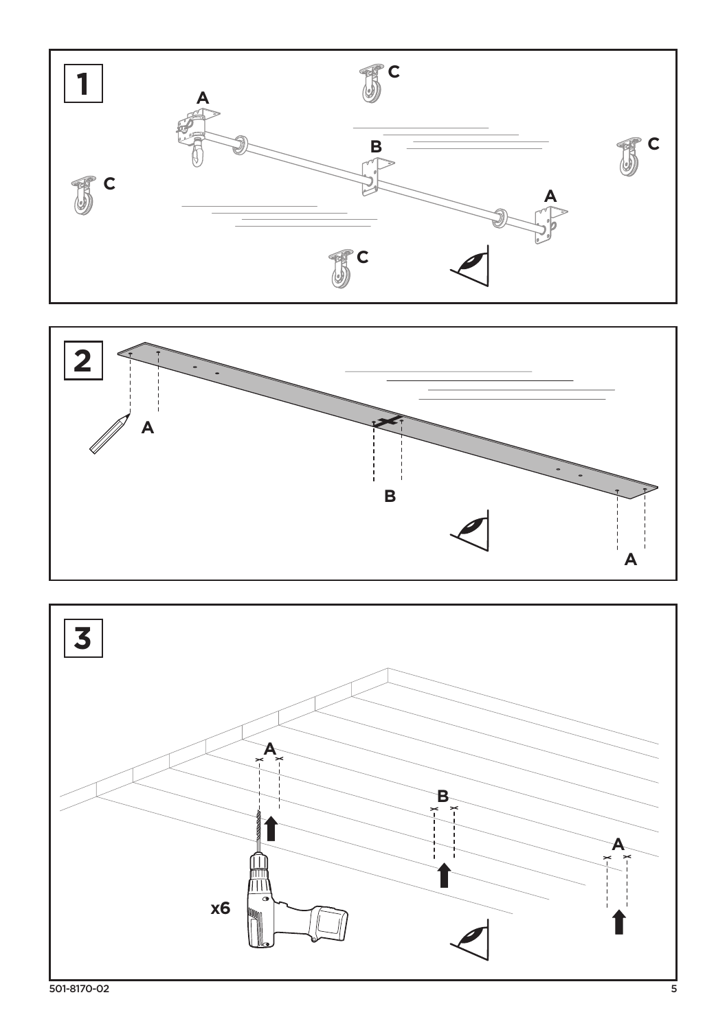



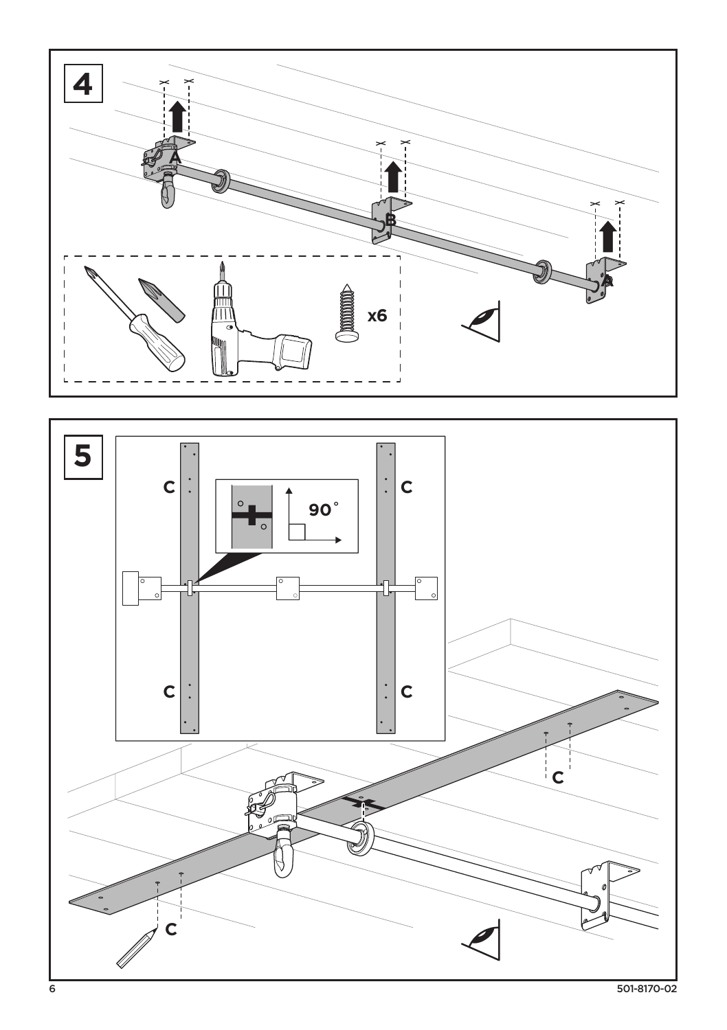



501-8170-02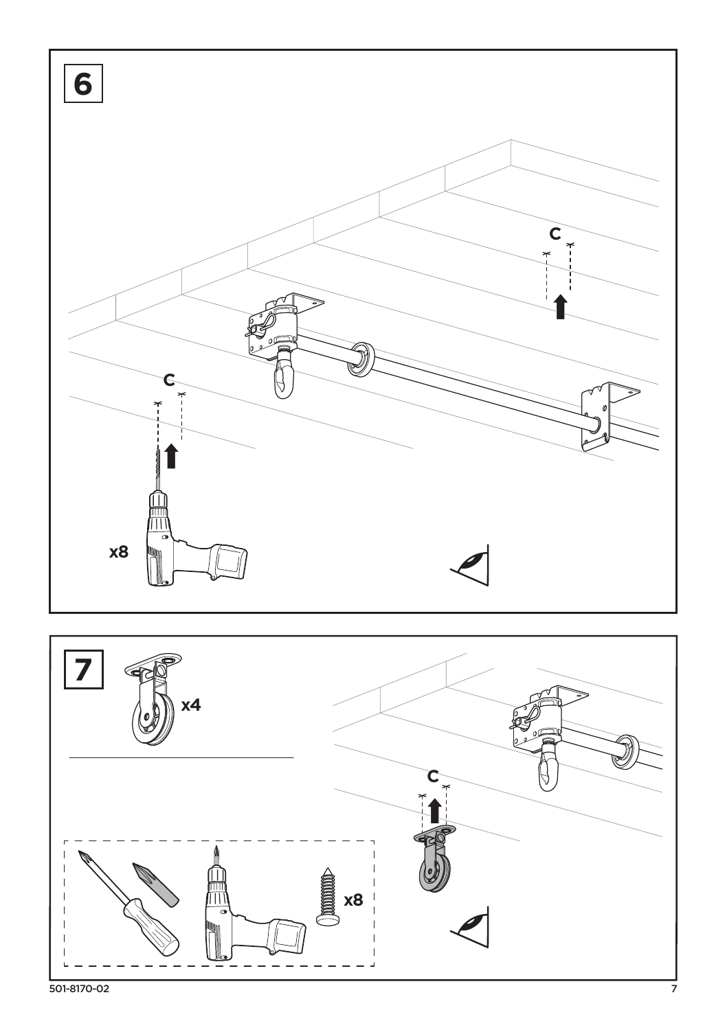

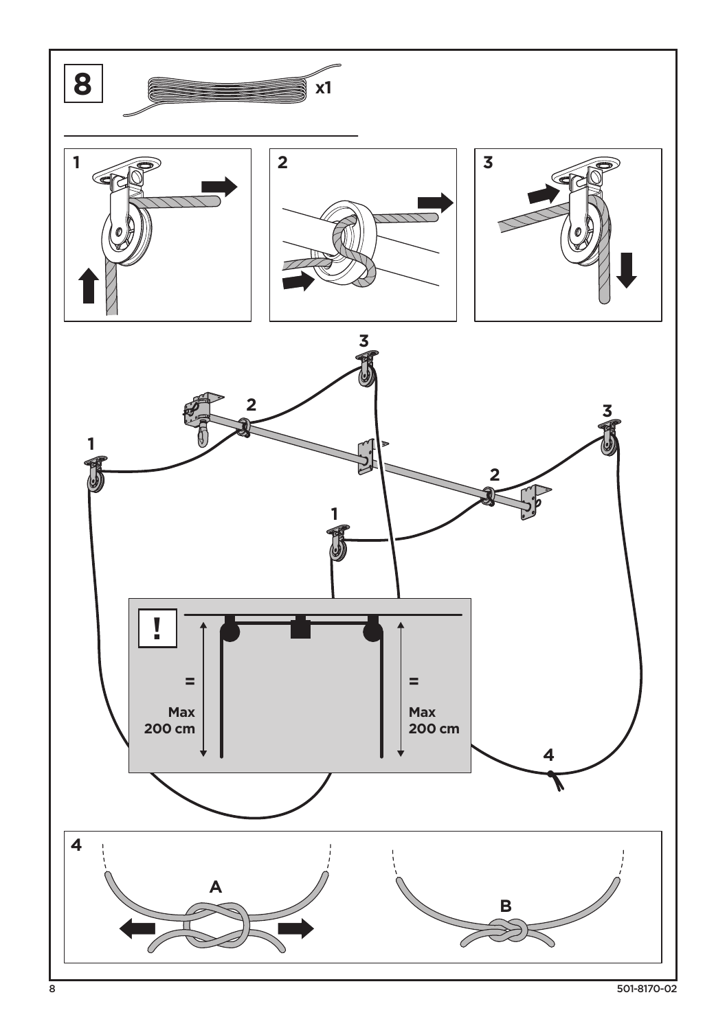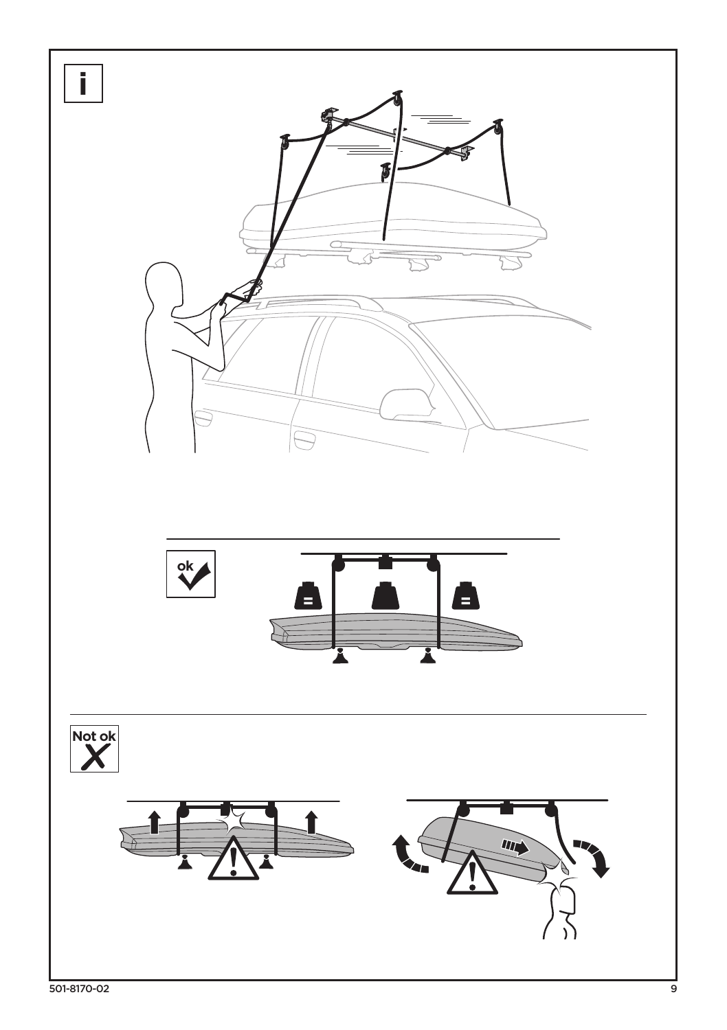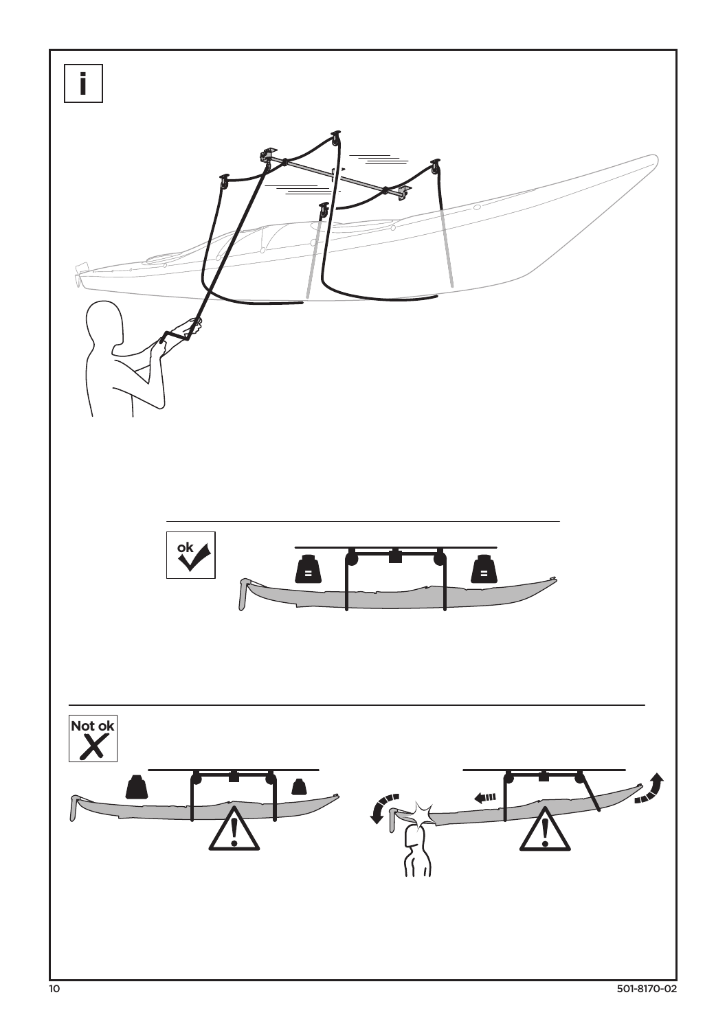